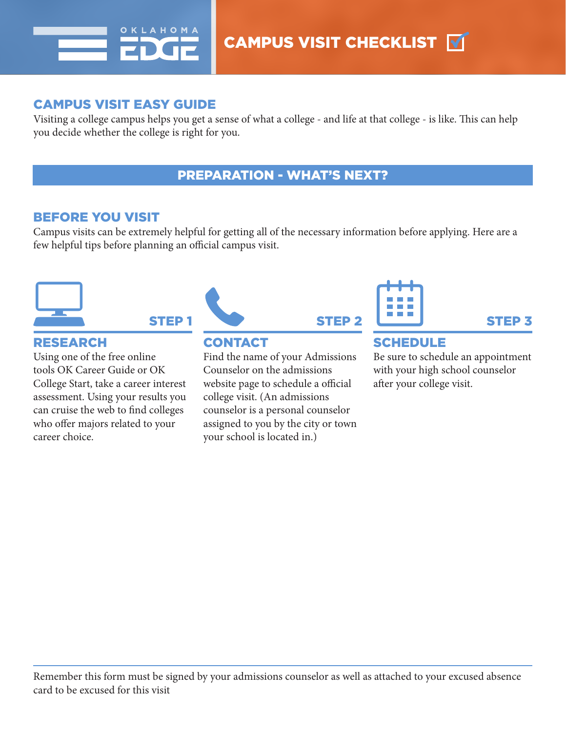

# CAMPUS VISIT EASY GUIDE

Visiting a college campus helps you get a sense of what a college - and life at that college - is like. This can help you decide whether the college is right for you.

## PREPARATION - WHAT'S NEXT?

### BEFORE YOU VISIT

Campus visits can be extremely helpful for getting all of the necessary information before applying. Here are a few helpful tips before planning an official campus visit.



## Using one of the free online tools OK Career Guide or OK College Start, take a career interest assessment. Using your results you can cruise the web to find colleges who offer majors related to your career choice.



Find the name of your Admissions Counselor on the admissions website page to schedule a official college visit. (An admissions counselor is a personal counselor assigned to you by the city or town your school is located in.)

### Be sure to schedule an appointment with your high school counselor after your college visit.

Remember this form must be signed by your admissions counselor as well as attached to your excused absence card to be excused for this visit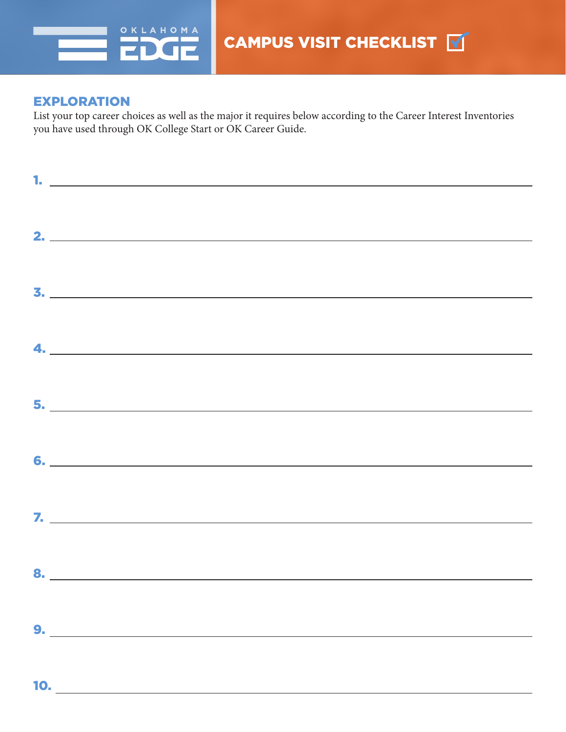

### EXPLORATION

List your top career choices as well as the major it requires below according to the Career Interest Inventories you have used through OK College Start or OK Career Guide.

|     | 1. $\overline{\phantom{a}}$ |
|-----|-----------------------------|
|     |                             |
|     |                             |
|     | <u>2.</u>                   |
|     |                             |
|     |                             |
|     | $\overline{\mathbf{3.}}$    |
|     |                             |
|     |                             |
|     | $\overline{a}$              |
|     |                             |
|     |                             |
|     |                             |
|     |                             |
|     |                             |
|     |                             |
|     |                             |
|     |                             |
|     |                             |
|     |                             |
|     |                             |
|     |                             |
|     | 9.                          |
|     |                             |
|     |                             |
| 10. |                             |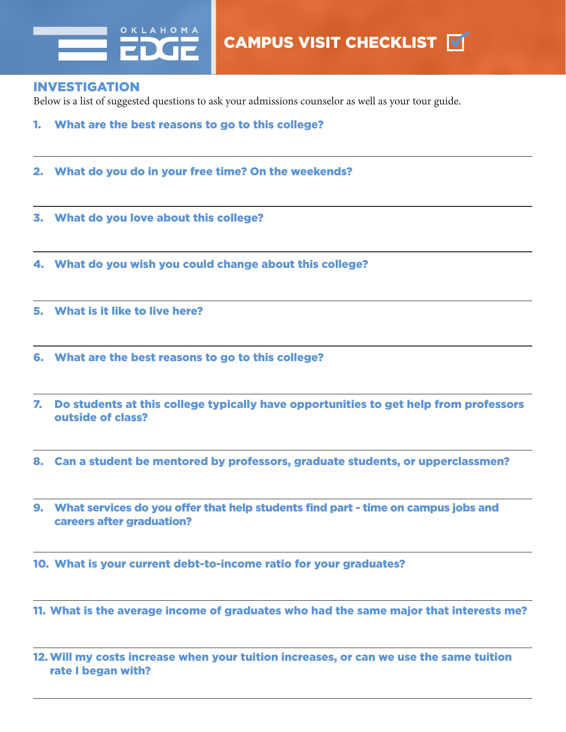

#### INVESTIGATION

Below is a list of suggested questions to ask your admissions counselor as well as your tour guide.

- 1. What are the best reasons to go to this college?
- 2. What do you do in your free time? On the weekends?
- 3. What do you love about this college?
- 4. What do you wish you could change about this college?
- 5. What is it like to live here?
- 6. What are the best reasons to go to this college?
- 7. Do students at this college typically have opportunities to get help from professors outside of class?
- 8. Can a student be mentored by professors, graduate students, or upperclassmen?
- 9. What services do you offer that help students find part time on campus jobs and careers after graduation?
- 10. What is your current debt-to-income ratio for your graduates?
- 11. What is the average income of graduates who had the same major that interests me?
- 12.Will my costs increase when your tuition increases, or can we use the same tuition rate I began with?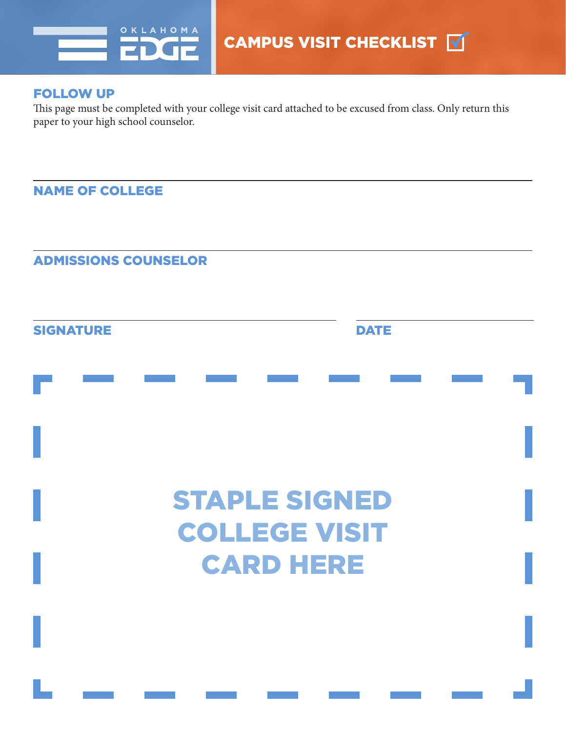

#### FOLLOW UP

This page must be completed with your college visit card attached to be excused from class. Only return this paper to your high school counselor.

NAME OF COLLEGE